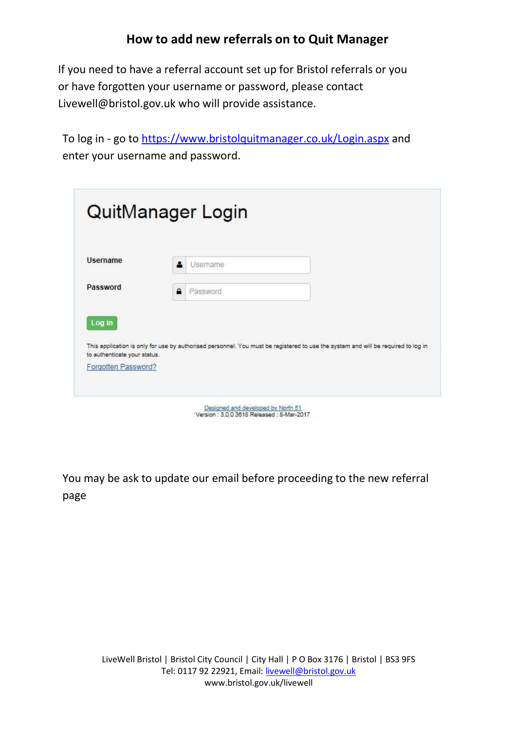If you need to have a referral account set up for Bristol referrals or you or have forgotten your username or password, please contact Livewell@bristol.gov.uk who will provide assistance.

To log in - go to<https://www.bristolquitmanager.co.uk/Login.aspx> and enter your username and password.

| <b>Username</b>              | Username<br>▴                                                                                                                     |
|------------------------------|-----------------------------------------------------------------------------------------------------------------------------------|
| Password                     | А<br>Password                                                                                                                     |
| Log in                       | This application is only for use by authorised personnel. You must be registered to use the system and will be required to log in |
| to authenticate your status. |                                                                                                                                   |

You may be ask to update our email before proceeding to the new referral page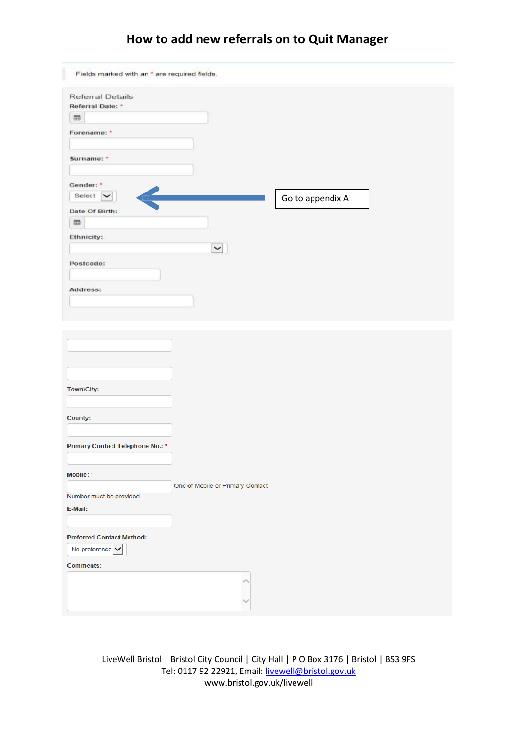## **How to add new referrals on to Quit Manager**

| Fields marked with an * are required fields.     |                                  |                  |  |
|--------------------------------------------------|----------------------------------|------------------|--|
| <b>Referral Details</b><br>Referral Date: *<br>m |                                  |                  |  |
| Forename: *                                      |                                  |                  |  |
| Surname:                                         |                                  |                  |  |
| Gender: *                                        |                                  |                  |  |
| Select V                                         |                                  | Go to appendix A |  |
| Date Of Birth:                                   |                                  |                  |  |
| 曲                                                |                                  |                  |  |
| Ethnicity:                                       |                                  |                  |  |
|                                                  | $\check{\phantom{a}}$            |                  |  |
| Postcode:                                        |                                  |                  |  |
|                                                  |                                  |                  |  |
| Address:                                         |                                  |                  |  |
|                                                  |                                  |                  |  |
|                                                  |                                  |                  |  |
|                                                  |                                  |                  |  |
|                                                  |                                  |                  |  |
|                                                  |                                  |                  |  |
|                                                  |                                  |                  |  |
| Town\City:                                       |                                  |                  |  |
|                                                  |                                  |                  |  |
| County:                                          |                                  |                  |  |
|                                                  |                                  |                  |  |
| Primary Contact Telephone No.: *                 |                                  |                  |  |
|                                                  |                                  |                  |  |
| Mobile: *                                        |                                  |                  |  |
|                                                  | One of Mobile or Primary Contact |                  |  |
| Number must be provided                          |                                  |                  |  |
| E-Mail:                                          |                                  |                  |  |
|                                                  |                                  |                  |  |
| <b>Preferred Contact Method:</b>                 |                                  |                  |  |
| No preference $\blacktriangleright$              |                                  |                  |  |
| <b>Comments:</b>                                 |                                  |                  |  |
|                                                  |                                  |                  |  |
|                                                  |                                  |                  |  |
|                                                  |                                  |                  |  |

LiveWell Bristol | Bristol City Council | City Hall | P O Box 3176 | Bristol | BS3 9FS Tel: 0117 92 22921, Email: [livewell@bristol.gov.uk](mailto:livewell@bristol.gov.uk) [www.bristol.gov.uk/livewell](http://www.bristol.gov.uk/livewell)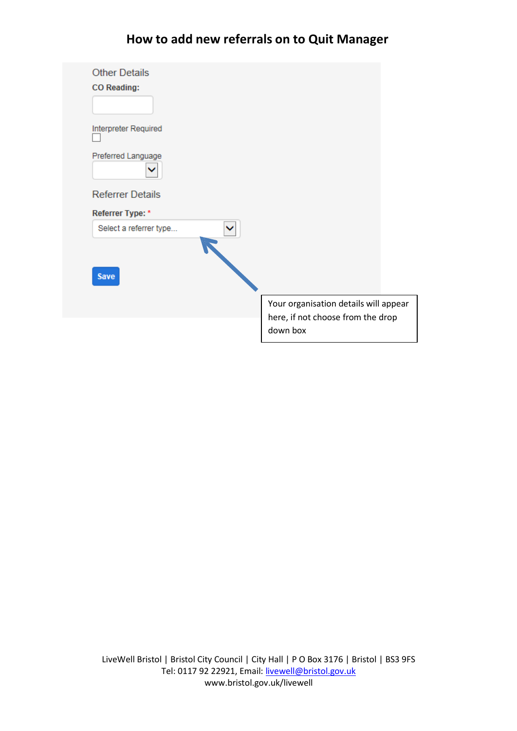## **How to add new referrals on to Quit Manager**

| <b>Other Details</b>    |                                               |
|-------------------------|-----------------------------------------------|
| <b>CO</b> Reading:      |                                               |
| Interpreter Required    |                                               |
| Preferred Language      |                                               |
| <b>Referrer Details</b> |                                               |
| Referrer Type: *        |                                               |
| Select a referrer type  |                                               |
|                         |                                               |
| <b>Save</b>             |                                               |
|                         | Your organisation details will appear         |
|                         | here, if not choose from the drop<br>down box |
|                         |                                               |